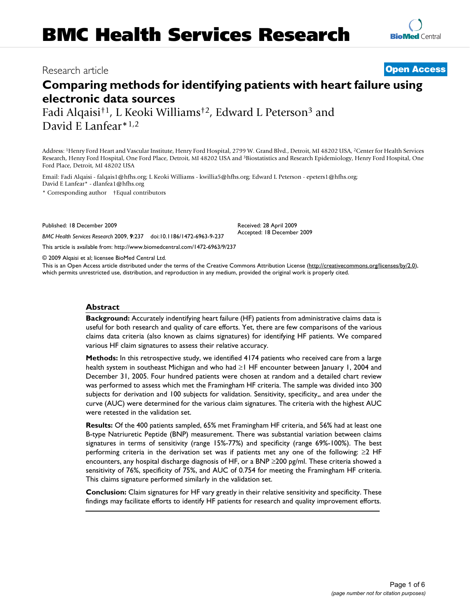# **Comparing methods for identifying patients with heart failure using electronic data sources**

Fadi Alqaisi†1, L Keoki Williams†2, Edward L Peterson3 and David E Lanfear\*1,2

Address: 1Henry Ford Heart and Vascular Institute, Henry Ford Hospital, 2799 W. Grand Blvd., Detroit, MI 48202 USA, 2Center for Health Services Research, Henry Ford Hospital, One Ford Place, Detroit, MI 48202 USA and 3Biostatistics and Research Epidemiology, Henry Ford Hospital, One Ford Place, Detroit, MI 48202 USA

Email: Fadi Alqaisi - falqais1@hfhs.org; L Keoki Williams - kwillia5@hfhs.org; Edward L Peterson - epeters1@hfhs.org; David E Lanfear\* - dlanfea1@hfhs.org

\* Corresponding author †Equal contributors

Published: 18 December 2009

Received: 28 April 2009 Accepted: 18 December 2009

© 2009 Alqaisi et al; licensee BioMed Central Ltd.

*BMC Health Services Research* 2009, **9**:237 doi:10.1186/1472-6963-9-237

[This article is available from: http://www.biomedcentral.com/1472-6963/9/237](http://www.biomedcentral.com/1472-6963/9/237)

This is an Open Access article distributed under the terms of the Creative Commons Attribution License [\(http://creativecommons.org/licenses/by/2.0\)](http://creativecommons.org/licenses/by/2.0), which permits unrestricted use, distribution, and reproduction in any medium, provided the original work is properly cited.

#### **Abstract**

**Background:** Accurately indentifying heart failure (HF) patients from administrative claims data is useful for both research and quality of care efforts. Yet, there are few comparisons of the various claims data criteria (also known as claims signatures) for identifying HF patients. We compared various HF claim signatures to assess their relative accuracy.

**Methods:** In this retrospective study, we identified 4174 patients who received care from a large health system in southeast Michigan and who had ≥1 HF encounter between January 1, 2004 and December 31, 2005. Four hundred patients were chosen at random and a detailed chart review was performed to assess which met the Framingham HF criteria. The sample was divided into 300 subjects for derivation and 100 subjects for validation. Sensitivity, specificity,, and area under the curve (AUC) were determined for the various claim signatures. The criteria with the highest AUC were retested in the validation set.

**Results:** Of the 400 patients sampled, 65% met Framingham HF criteria, and 56% had at least one B-type Natriuretic Peptide (BNP) measurement. There was substantial variation between claims signatures in terms of sensitivity (range 15%-77%) and specificity (range 69%-100%). The best performing criteria in the derivation set was if patients met any one of the following: ≥2 HF encounters, any hospital discharge diagnosis of HF, or a BNP ≥200 pg/ml. These criteria showed a sensitivity of 76%, specificity of 75%, and AUC of 0.754 for meeting the Framingham HF criteria. This claims signature performed similarly in the validation set.

**Conclusion:** Claim signatures for HF vary greatly in their relative sensitivity and specificity. These findings may facilitate efforts to identify HF patients for research and quality improvement efforts.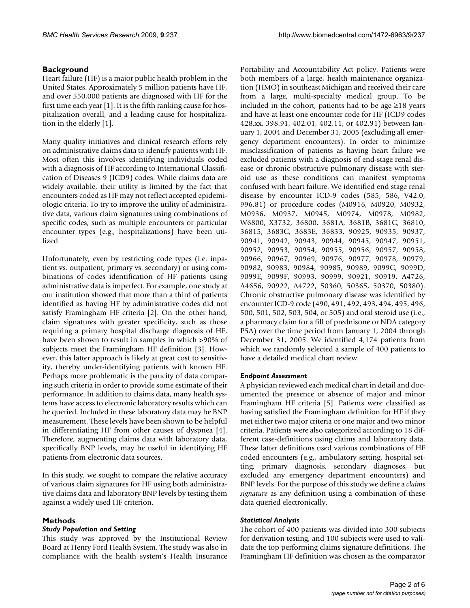# **Background**

Heart failure (HF) is a major public health problem in the United States. Approximately 5 million patients have HF, and over 550,000 patients are diagnosed with HF for the first time each year [[1](#page-5-0)]. It is the fifth ranking cause for hospitalization overall, and a leading cause for hospitalization in the elderly [\[1\]](#page-5-0).

Many quality initiatives and clinical research efforts rely on administrative claims data to identify patients with HF. Most often this involves identifying individuals coded with a diagnosis of HF according to International Classification of Diseases 9 (ICD9) codes. While claims data are widely available, their utility is limited by the fact that encounters coded as HF may not reflect accepted epidemiologic criteria. To try to improve the utility of administrative data, various claim signatures using combinations of specific codes, such as multiple encounters or particular encounter types (e.g., hospitalizations) have been utilized.

Unfortunately, even by restricting code types (i.e. inpatient vs. outpatient, primary vs. secondary) or using combinations of codes identification of HF patients using administrative data is imperfect. For example, one study at our institution showed that more than a third of patients identified as having HF by administrative codes did not satisfy Framingham HF criteria [[2\]](#page-5-1). On the other hand, claim signatures with greater specificity, such as those requiring a primary hospital discharge diagnosis of HF, have been shown to result in samples in which >90% of subjects meet the Framingham HF definition [\[3\]](#page-5-2). However, this latter approach is likely at great cost to sensitivity, thereby under-identifying patients with known HF. Perhaps more problematic is the paucity of data comparing such criteria in order to provide some estimate of their performance. In addition to claims data, many health systems have access to electronic laboratory results which can be queried. Included in these laboratory data may be BNP measurement. These levels have been shown to be helpful in differentiating HF from other causes of dyspnea [[4](#page-5-3)]. Therefore, augmenting claims data with laboratory data, specifically BNP levels, may be useful in identifying HF patients from electronic data sources.

In this study, we sought to compare the relative accuracy of various claim signatures for HF using both administrative claims data and laboratory BNP levels by testing them against a widely used HF criterion.

# **Methods**

#### *Study Population and Setting*

This study was approved by the Institutional Review Board at Henry Ford Health System. The study was also in compliance with the health system's Health Insurance

Portability and Accountability Act policy. Patients were both members of a large, health maintenance organization (HMO) in southeast Michigan and received their care from a large, multi-specialty medical group. To be included in the cohort, patients had to be age  $\geq$ 18 years and have at least one encounter code for HF (ICD9 codes 428.xx, 398.91, 402.01, 402.11, or 402.91) between January 1, 2004 and December 31, 2005 (excluding all emergency department encounters). In order to minimize misclassification of patients as having heart failure we excluded patients with a diagnosis of end-stage renal disease or chronic obstructive pulmonary disease with steroid use as these conditions can manifest symptoms confused with heart failure. We identified end stage renal disease by encounter ICD-9 codes (585, 586, V42.0, 996.81) or procedure codes (M0916, M0920, M0932, M0936, M0937, M0945, M0974, M0978, M0982, W6800, X3732, 36800, 3681A, 3681B, 3681C, 36810, 36815, 3683C, 3683E, 36833, 90925, 90935, 90937, 90941, 90942, 90943, 90944, 90945, 90947, 90951, 90952, 90953, 90954, 90955, 90956, 90957, 90958, 90966, 90967, 90969, 90976, 90977, 90978, 90979, 90982, 90983, 90984, 90985, 90989, 9099C, 9099D, 9099E, 9099F, 90993, 90999, 90921, 90919, A4726, A4656, 90922, A4722, 50360, 50365, 50370, 50380). Chronic obstructive pulmonary disease was identified by encounter ICD-9 code (490, 491, 492, 493, 494, 495, 496, 500, 501, 502, 503, 504, or 505) and oral steroid use (i.e., a pharmacy claim for a fill of prednisone or NDA category P5A) over the time period from January 1, 2004 through December 31, 2005. We identified 4,174 patients from which we randomly selected a sample of 400 patients to have a detailed medical chart review.

#### *Endpoint Assessment*

A physician reviewed each medical chart in detail and documented the presence or absence of major and minor Framingham HF criteria [\[5\]](#page-5-4). Patients were classified as having satisfied the Framingham definition for HF if they met either two major criteria or one major and two minor criteria. Patients were also categorized according to 18 different case-definitions using claims and laboratory data. These latter definitions used various combinations of HF coded encounters (e.g., ambulatory setting, hospital setting, primary diagnosis, secondary diagnoses, but excluded any emergency department encounters) and BNP levels. For the purpose of this study we define a *claims signature* as any definition using a combination of these data queried electronically.

# *Statistical Analysis*

The cohort of 400 patients was divided into 300 subjects for derivation testing, and 100 subjects were used to validate the top performing claims signature definitions. The Framingham HF definition was chosen as the comparator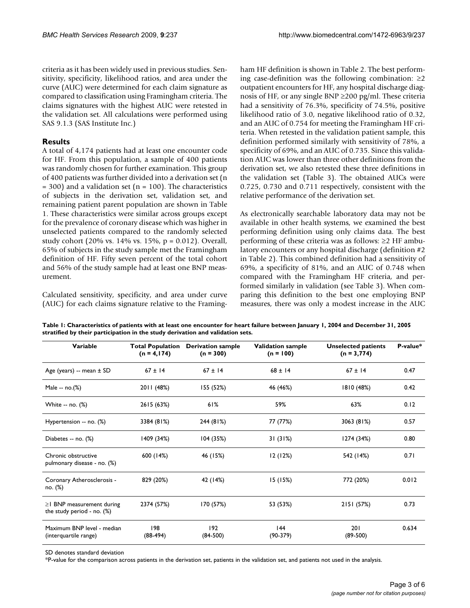criteria as it has been widely used in previous studies. Sensitivity, specificity, likelihood ratios, and area under the curve (AUC) were determined for each claim signature as compared to classification using Framingham criteria. The claims signatures with the highest AUC were retested in the validation set. All calculations were performed using SAS 9.1.3 (SAS Institute Inc.)

### **Results**

A total of 4,174 patients had at least one encounter code for HF. From this population, a sample of 400 patients was randomly chosen for further examination. This group of 400 patients was further divided into a derivation set (n  $= 300$ ) and a validation set (n  $= 100$ ). The characteristics of subjects in the derivation set, validation set, and remaining patient parent population are shown in Table [1.](#page-2-0) These characteristics were similar across groups except for the prevalence of coronary disease which was higher in unselected patients compared to the randomly selected study cohort (20% vs. 14% vs. 15%, p = 0.012). Overall, 65% of subjects in the study sample met the Framingham definition of HF. Fifty seven percent of the total cohort and 56% of the study sample had at least one BNP measurement.

Calculated sensitivity, specificity, and area under curve (AUC) for each claims signature relative to the Framingham HF definition is shown in Table [2.](#page-3-0) The best performing case-definition was the following combination:  $\geq 2$ outpatient encounters for HF, any hospital discharge diagnosis of HF, or any single BNP  $\geq$ 200 pg/ml. These criteria had a sensitivity of 76.3%, specificity of 74.5%, positive likelihood ratio of 3.0, negative likelihood ratio of 0.32, and an AUC of 0.754 for meeting the Framingham HF criteria. When retested in the validation patient sample, this definition performed similarly with sensitivity of 78%, a specificity of 69%, and an AUC of 0.735. Since this validation AUC was lower than three other definitions from the derivation set, we also retested these three definitions in the validation set (Table [3\)](#page-3-1). The obtained AUCs were 0.725, 0.730 and 0.711 respectively, consistent with the relative performance of the derivation set.

As electronically searchable laboratory data may not be available in other health systems, we examined the best performing definition using only claims data. The best performing of these criteria was as follows: ≥2 HF ambulatory encounters or any hospital discharge (definition #2 in Table [2](#page-3-0)). This combined definition had a sensitivity of 69%, a specificity of 81%, and an AUC of 0.748 when compared with the Framingham HF criteria, and performed similarly in validation (see Table [3](#page-3-1)). When comparing this definition to the best one employing BNP measures, there was only a modest increase in the AUC

<span id="page-2-0"></span>**Table 1: Characteristics of patients with at least one encounter for heart failure between January 1, 2004 and December 31, 2005 stratified by their participation in the study derivation and validation sets.**

| Variable                                                       | <b>Total Population</b><br>$(n = 4, 174)$ | <b>Derivation sample</b><br>$(n = 300)$ | <b>Validation sample</b><br>$(n = 100)$ | <b>Unselected patients</b><br>$(n = 3, 774)$ | P-value* |
|----------------------------------------------------------------|-------------------------------------------|-----------------------------------------|-----------------------------------------|----------------------------------------------|----------|
| Age (years) -- mean $\pm$ SD                                   | $67 \pm 14$                               | $67 \pm 14$                             | $68 \pm 14$                             | $67 \pm 14$                                  | 0.47     |
| Male -- no.(%)                                                 | 2011 (48%)                                | 155 (52%)                               | 46 (46%)                                | 1810 (48%)                                   | 0.42     |
| White -- no. (%)                                               | 2615 (63%)                                | 61%                                     | 59%                                     | 63%                                          | 0.12     |
| Hypertension -- no. (%)                                        | 3384 (81%)                                | 244 (81%)                               | 77 (77%)                                | 3063 (81%)                                   | 0.57     |
| Diabetes -- no. (%)                                            | 1409 (34%)                                | 104 (35%)                               | 31(31%)                                 | 1274 (34%)                                   | 0.80     |
| Chronic obstructive<br>pulmonary disease - no. (%)             | 600 (14%)                                 | 46 (15%)                                | 12(12%)                                 | 542 (14%)                                    | 0.71     |
| Coronary Atherosclerosis -<br>no. (%)                          | 829 (20%)                                 | 42 (14%)                                | 15 (15%)                                | 772 (20%)                                    | 0.012    |
| $\geq$ BNP measurement during<br>the study period - no. $(\%)$ | 2374 (57%)                                | 170 (57%)                               | 53 (53%)                                | 2151 (57%)                                   | 0.73     |
| Maximum BNP level - median<br>(interquartile range)            | 198<br>$(88-494)$                         | 192<br>$(84-500)$                       | 44<br>$(90-379)$                        | 201<br>$(89-500)$                            | 0.634    |

SD denotes standard deviation

\*P-value for the comparison across patients in the derivation set, patients in the validation set, and patients not used in the analysis.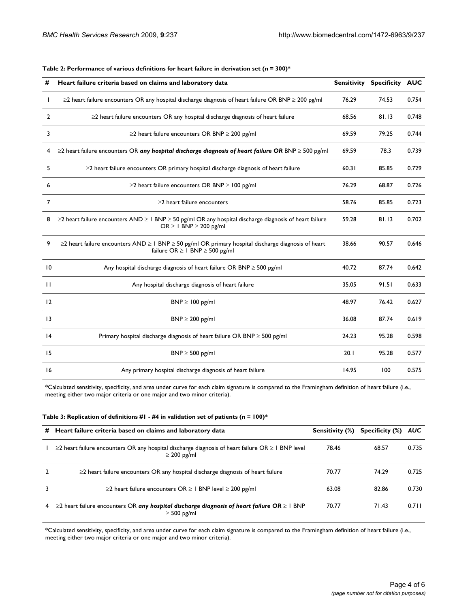| #               | Heart failure criteria based on claims and laboratory data                                                                                                      |       | <b>Sensitivity Specificity AUC</b> |       |
|-----------------|-----------------------------------------------------------------------------------------------------------------------------------------------------------------|-------|------------------------------------|-------|
| $\mathbf{I}$    | $\geq$ 2 heart failure encounters OR any hospital discharge diagnosis of heart failure OR BNP $\geq$ 200 pg/ml                                                  | 76.29 | 74.53                              | 0.754 |
| $\overline{2}$  | $\geq$ 2 heart failure encounters OR any hospital discharge diagnosis of heart failure                                                                          | 68.56 | 81.13                              | 0.748 |
| 3               | $\geq$ 2 heart failure encounters OR BNP $\geq$ 200 pg/ml                                                                                                       | 69.59 | 79.25                              | 0.744 |
| 4               | ≥2 heart failure encounters OR any hospital discharge diagnosis of heart failure OR BNP ≥ 500 pg/ml                                                             | 69.59 | 78.3                               | 0.739 |
| 5               | $\geq$ 2 heart failure encounters OR primary hospital discharge diagnosis of heart failure                                                                      | 60.31 | 85.85                              | 0.729 |
| 6               | $\geq$ 2 heart failure encounters OR BNP $\geq$ 100 pg/ml                                                                                                       | 76.29 | 68.87                              | 0.726 |
| 7               | $\geq$ 2 heart failure encounters                                                                                                                               | 58.76 | 85.85                              | 0.723 |
| 8               | ≥2 heart failure encounters AND ≥ 1 BNP ≥ 50 pg/ml OR any hospital discharge diagnosis of heart failure<br>OR $\geq$ 1 BNP $\geq$ 200 pg/ml                     | 59.28 | 81.13                              | 0.702 |
| 9               | $\geq$ 2 heart failure encounters AND $\geq$ 1 BNP $\geq$ 50 pg/ml OR primary hospital discharge diagnosis of heart<br>failure OR $\geq$ 1 BNP $\geq$ 500 pg/ml | 38.66 | 90.57                              | 0.646 |
| $\overline{10}$ | Any hospital discharge diagnosis of heart failure OR BNP $\geq$ 500 pg/ml                                                                                       | 40.72 | 87.74                              | 0.642 |
| $\mathbf{H}$    | Any hospital discharge diagnosis of heart failure                                                                                                               | 35.05 | 91.51                              | 0.633 |
| 12              | $BNP \ge 100$ pg/ml                                                                                                                                             | 48.97 | 76.42                              | 0.627 |
| 13              | $BNP \geq 200$ pg/ml                                                                                                                                            | 36.08 | 87.74                              | 0.619 |
| 4               | Primary hospital discharge diagnosis of heart failure OR BNP $\geq$ 500 pg/ml                                                                                   | 24.23 | 95.28                              | 0.598 |
| 15              | $BNP \geq 500$ pg/ml                                                                                                                                            | 20.1  | 95.28                              | 0.577 |
| 16              | Any primary hospital discharge diagnosis of heart failure                                                                                                       | 14.95 | 100                                | 0.575 |

#### <span id="page-3-0"></span>**Table 2: Performance of various definitions for heart failure in derivation set (n = 300)\***

\*Calculated sensitivity, specificity, and area under curve for each claim signature is compared to the Framingham definition of heart failure (i.e., meeting either two major criteria or one major and two minor criteria).

#### <span id="page-3-1"></span>**Table 3: Replication of definitions #1 - #4 in validation set of patients (n = 100)\***

|              | # Heart failure criteria based on claims and laboratory data                                                                     |       | Specificity $(\%)$ | AUC   |
|--------------|----------------------------------------------------------------------------------------------------------------------------------|-------|--------------------|-------|
|              | $\geq$ 2 heart failure encounters OR any hospital discharge diagnosis of heart failure OR $\geq$ 1 BNP level<br>$\geq$ 200 pg/ml | 78.46 | 68.57              | 0.735 |
| $\mathbf{2}$ | $\geq$ 2 heart failure encounters OR any hospital discharge diagnosis of heart failure                                           | 70.77 | 74.29              | 0.725 |
| 3            | $\geq$ 2 heart failure encounters OR $\geq$ 1 BNP level $\geq$ 200 pg/ml                                                         | 63.08 | 82.86              | 0.730 |
| 4            | $\geq$ 2 heart failure encounters OR any hospital discharge diagnosis of heart failure OR $\geq$ 1 BNP<br>$\geq$ 500 pg/ml       | 70.77 | 71.43              | 0.711 |

\*Calculated sensitivity, specificity, and area under curve for each claim signature is compared to the Framingham definition of heart failure (i.e., meeting either two major criteria or one major and two minor criteria).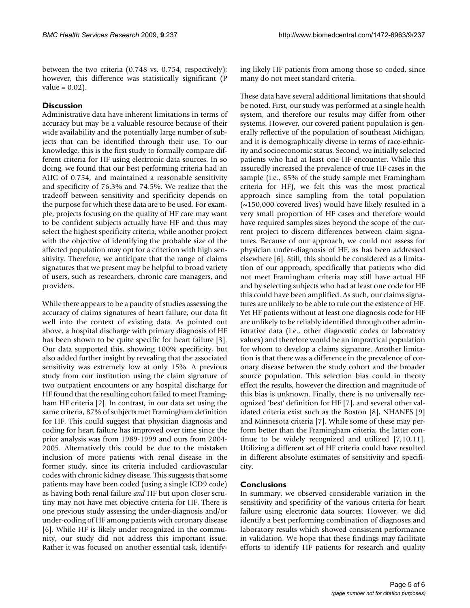between the two criteria (0.748 vs. 0.754, respectively); however, this difference was statistically significant (P value  $= 0.02$ ).

### **Discussion**

Administrative data have inherent limitations in terms of accuracy but may be a valuable resource because of their wide availability and the potentially large number of subjects that can be identified through their use. To our knowledge, this is the first study to formally compare different criteria for HF using electronic data sources. In so doing, we found that our best performing criteria had an AUC of 0.754, and maintained a reasonable sensitivity and specificity of 76.3% and 74.5%. We realize that the tradeoff between sensitivity and specificity depends on the purpose for which these data are to be used. For example, projects focusing on the quality of HF care may want to be confident subjects actually have HF and thus may select the highest specificity criteria, while another project with the objective of identifying the probable size of the affected population may opt for a criterion with high sensitivity. Therefore, we anticipate that the range of claims signatures that we present may be helpful to broad variety of users, such as researchers, chronic care managers, and providers.

While there appears to be a paucity of studies assessing the accuracy of claims signatures of heart failure, our data fit well into the context of existing data. As pointed out above, a hospital discharge with primary diagnosis of HF has been shown to be quite specific for heart failure [[3](#page-5-2)]. Our data supported this, showing 100% specificity, but also added further insight by revealing that the associated sensitivity was extremely low at only 15%. A previous study from our institution using the claim signature of two outpatient encounters or any hospital discharge for HF found that the resulting cohort failed to meet Framingham HF criteria [[2](#page-5-1)]. In contrast, in our data set using the same criteria, 87% of subjects met Framingham definition for HF. This could suggest that physician diagnosis and coding for heart failure has improved over time since the prior analysis was from 1989-1999 and ours from 2004- 2005. Alternatively this could be due to the mistaken inclusion of more patients with renal disease in the former study, since its criteria included cardiovascular codes with chronic kidney disease. This suggests that some patients may have been coded (using a single ICD9 code) as having both renal failure *and* HF but upon closer scrutiny may not have met objective criteria for HF. There is one previous study assessing the under-diagnosis and/or under-coding of HF among patients with coronary disease [[6\]](#page-5-5). While HF is likely under recognized in the community, our study did not address this important issue. Rather it was focused on another essential task, identifying likely HF patients from among those so coded, since many do not meet standard criteria.

These data have several additional limitations that should be noted. First, our study was performed at a single health system, and therefore our results may differ from other systems. However, our covered patient population is generally reflective of the population of southeast Michigan, and it is demographically diverse in terms of race-ethnicity and socioeconomic status. Second, we initially selected patients who had at least one HF encounter. While this assuredly increased the prevalence of true HF cases in the sample (i.e., 65% of the study sample met Framingham criteria for HF), we felt this was the most practical approach since sampling from the total population (~150,000 covered lives) would have likely resulted in a very small proportion of HF cases and therefore would have required samples sizes beyond the scope of the current project to discern differences between claim signatures. Because of our approach, we could not assess for physician under-diagnosis of HF, as has been addressed elsewhere [\[6\]](#page-5-5). Still, this should be considered as a limitation of our approach, specifically that patients who did not meet Framingham criteria may still have actual HF and by selecting subjects who had at least one code for HF this could have been amplified. As such, our claims signatures are unlikely to be able to rule out the existence of HF. Yet HF patients without at least one diagnosis code for HF are unlikely to be reliably identified through other administrative data (i.e., other diagnostic codes or laboratory values) and therefore would be an impractical population for whom to develop a claims signature. Another limitation is that there was a difference in the prevalence of coronary disease between the study cohort and the broader source population. This selection bias could in theory effect the results, however the direction and magnitude of this bias is unknown. Finally, there is no universally recognized 'best' definition for HF [\[7\]](#page-5-6), and several other validated criteria exist such as the Boston [[8\]](#page-5-7), NHANES [\[9\]](#page-5-8) and Minnesota criteria [\[7\]](#page-5-6). While some of these may perform better than the Framingham criteria, the latter continue to be widely recognized and utilized [[7](#page-5-6),[10,](#page-5-9)[11](#page-5-10)]. Utilizing a different set of HF criteria could have resulted in different absolute estimates of sensitivity and specificity.

#### **Conclusions**

In summary, we observed considerable variation in the sensitivity and specificity of the various criteria for heart failure using electronic data sources. However, we did identify a best performing combination of diagnoses and laboratory results which showed consistent performance in validation. We hope that these findings may facilitate efforts to identify HF patients for research and quality